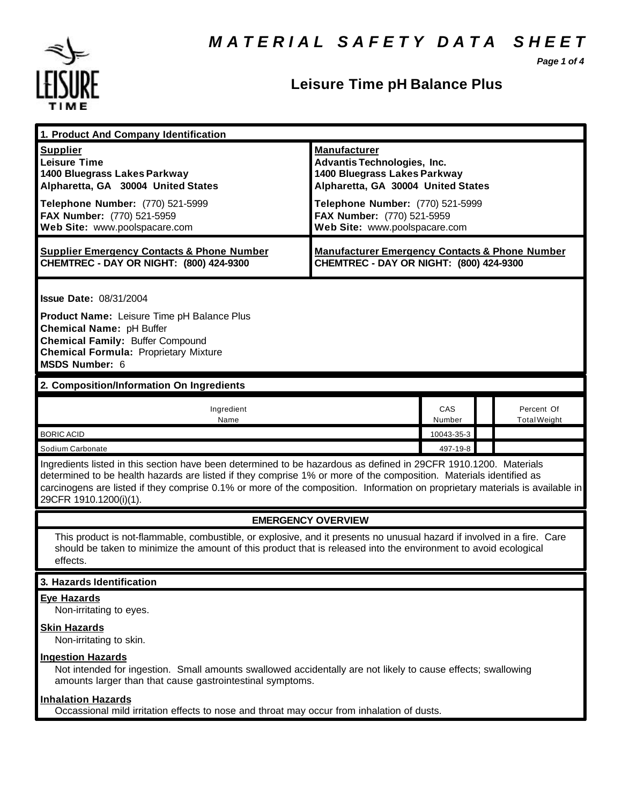

## **Leisure Time pH Balance Plus**

*Page 1 of 4*

| 1. Product And Company Identification                                                                                                                                                                                                                                                                                                                                                             |                                                                                                                                                                     |               |  |                                   |  |
|---------------------------------------------------------------------------------------------------------------------------------------------------------------------------------------------------------------------------------------------------------------------------------------------------------------------------------------------------------------------------------------------------|---------------------------------------------------------------------------------------------------------------------------------------------------------------------|---------------|--|-----------------------------------|--|
| <b>Supplier</b><br><b>Leisure Time</b><br>1400 Bluegrass Lakes Parkway<br>Alpharetta, GA 30004 United States<br>Telephone Number: (770) 521-5999                                                                                                                                                                                                                                                  | <b>Manufacturer</b><br><b>Advantis Technologies, Inc.</b><br>1400 Bluegrass Lakes Parkway<br>Alpharetta, GA 30004 United States<br>Telephone Number: (770) 521-5999 |               |  |                                   |  |
| FAX Number: (770) 521-5959<br>Web Site: www.poolspacare.com                                                                                                                                                                                                                                                                                                                                       | FAX Number: (770) 521-5959<br>Web Site: www.poolspacare.com                                                                                                         |               |  |                                   |  |
| <b>Supplier Emergency Contacts &amp; Phone Number</b><br>CHEMTREC - DAY OR NIGHT: (800) 424-9300                                                                                                                                                                                                                                                                                                  | <b>Manufacturer Emergency Contacts &amp; Phone Number</b><br>CHEMTREC - DAY OR NIGHT: (800) 424-9300                                                                |               |  |                                   |  |
| <b>Issue Date: 08/31/2004</b><br>Product Name: Leisure Time pH Balance Plus<br>Chemical Name: pH Buffer<br><b>Chemical Family: Buffer Compound</b><br><b>Chemical Formula: Proprietary Mixture</b><br>MSDS Number: 6                                                                                                                                                                              |                                                                                                                                                                     |               |  |                                   |  |
| 2. Composition/Information On Ingredients                                                                                                                                                                                                                                                                                                                                                         |                                                                                                                                                                     |               |  |                                   |  |
| Ingredient<br>Name                                                                                                                                                                                                                                                                                                                                                                                |                                                                                                                                                                     | CAS<br>Number |  | Percent Of<br><b>Total Weight</b> |  |
| <b>BORIC ACID</b>                                                                                                                                                                                                                                                                                                                                                                                 |                                                                                                                                                                     | 10043-35-3    |  |                                   |  |
| Sodium Carbonate                                                                                                                                                                                                                                                                                                                                                                                  |                                                                                                                                                                     | 497-19-8      |  |                                   |  |
| Ingredients listed in this section have been determined to be hazardous as defined in 29CFR 1910.1200. Materials<br>determined to be health hazards are listed if they comprise 1% or more of the composition. Materials identified as<br>carcinogens are listed if they comprise 0.1% or more of the composition. Information on proprietary materials is available in<br>29CFR 1910.1200(i)(1). |                                                                                                                                                                     |               |  |                                   |  |
| <b>EMERGENCY OVERVIEW</b>                                                                                                                                                                                                                                                                                                                                                                         |                                                                                                                                                                     |               |  |                                   |  |
| This product is not-flammable, combustible, or explosive, and it presents no unusual hazard if involved in a fire. Care<br>should be taken to minimize the amount of this product that is released into the environment to avoid ecological<br>effects.                                                                                                                                           |                                                                                                                                                                     |               |  |                                   |  |
| 3. Hazards Identification                                                                                                                                                                                                                                                                                                                                                                         |                                                                                                                                                                     |               |  |                                   |  |
| <b>Eye Hazards</b><br>Non-irritating to eyes.                                                                                                                                                                                                                                                                                                                                                     |                                                                                                                                                                     |               |  |                                   |  |
| <b>Skin Hazards</b><br>Non-irritating to skin.                                                                                                                                                                                                                                                                                                                                                    |                                                                                                                                                                     |               |  |                                   |  |
| <b>Ingestion Hazards</b><br>Not intended for ingestion. Small amounts swallowed accidentally are not likely to cause effects; swallowing<br>amounts larger than that cause gastrointestinal symptoms.                                                                                                                                                                                             |                                                                                                                                                                     |               |  |                                   |  |
| <b>Inhalation Hazards</b><br>Occassional mild irritation effects to nose and throat may occur from inhalation of dusts.                                                                                                                                                                                                                                                                           |                                                                                                                                                                     |               |  |                                   |  |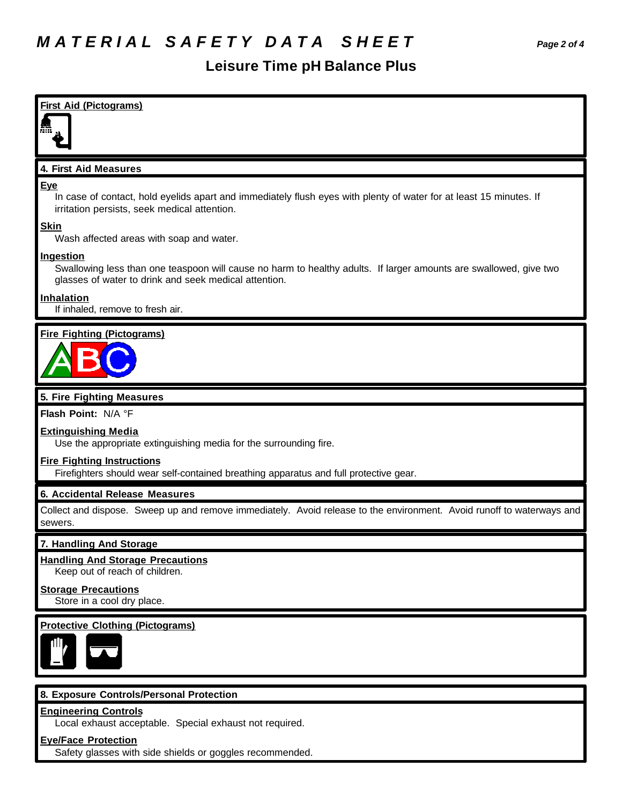#### **Leisure Time pH Balance Plus**

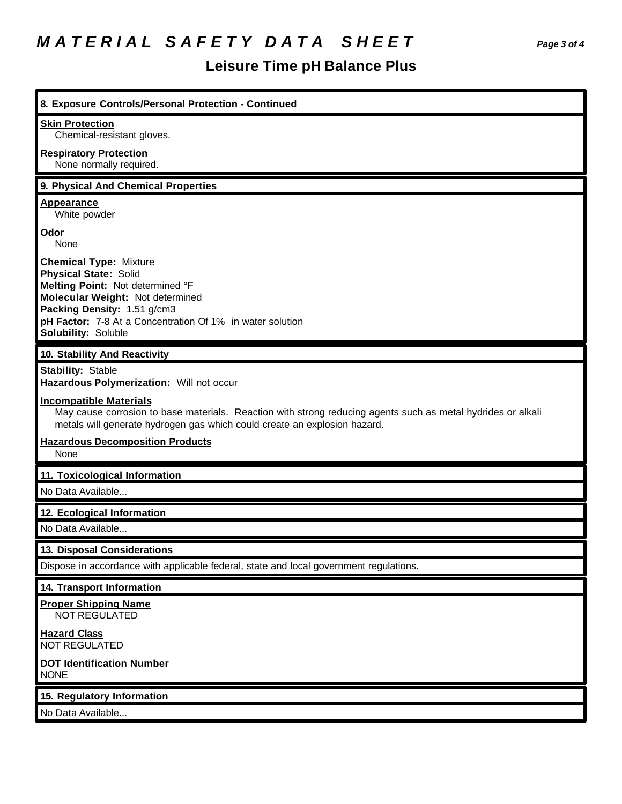# *M A T E R I A L S A F E T Y D A T A S H E E T Page 3 of 4*

## **Leisure Time pH Balance Plus**

| 8. Exposure Controls/Personal Protection - Continued                                                                                                                                                                                                     |
|----------------------------------------------------------------------------------------------------------------------------------------------------------------------------------------------------------------------------------------------------------|
| <b>Skin Protection</b><br>Chemical-resistant gloves.                                                                                                                                                                                                     |
| <b>Respiratory Protection</b><br>None normally required.                                                                                                                                                                                                 |
| 9. Physical And Chemical Properties                                                                                                                                                                                                                      |
| <b>Appearance</b><br>White powder                                                                                                                                                                                                                        |
| <u>Odor</u><br>None                                                                                                                                                                                                                                      |
| <b>Chemical Type: Mixture</b><br><b>Physical State: Solid</b><br>Melting Point: Not determined °F<br>Molecular Weight: Not determined<br>Packing Density: 1.51 g/cm3<br>pH Factor: 7-8 At a Concentration Of 1% in water solution<br>Solubility: Soluble |
| 10. Stability And Reactivity                                                                                                                                                                                                                             |
| <b>Stability: Stable</b><br>Hazardous Polymerization: Will not occur                                                                                                                                                                                     |
| <b>Incompatible Materials</b><br>May cause corrosion to base materials. Reaction with strong reducing agents such as metal hydrides or alkali<br>metals will generate hydrogen gas which could create an explosion hazard.                               |
| <b>Hazardous Decomposition Products</b><br>None                                                                                                                                                                                                          |
| 11. Toxicological Information                                                                                                                                                                                                                            |
| No Data Available                                                                                                                                                                                                                                        |
| 12. Ecological Information                                                                                                                                                                                                                               |
| No Data Available                                                                                                                                                                                                                                        |
| 13. Disposal Considerations                                                                                                                                                                                                                              |
| Dispose in accordance with applicable federal, state and local government regulations.                                                                                                                                                                   |
| 14. Transport Information                                                                                                                                                                                                                                |
| <b>Proper Shipping Name</b><br>NOT REGULATED                                                                                                                                                                                                             |
| <b>Hazard Class</b><br><b>NOT REGULATED</b>                                                                                                                                                                                                              |
| <b>DOT Identification Number</b><br><b>NONE</b>                                                                                                                                                                                                          |
| 15. Regulatory Information                                                                                                                                                                                                                               |
| No Data Available                                                                                                                                                                                                                                        |